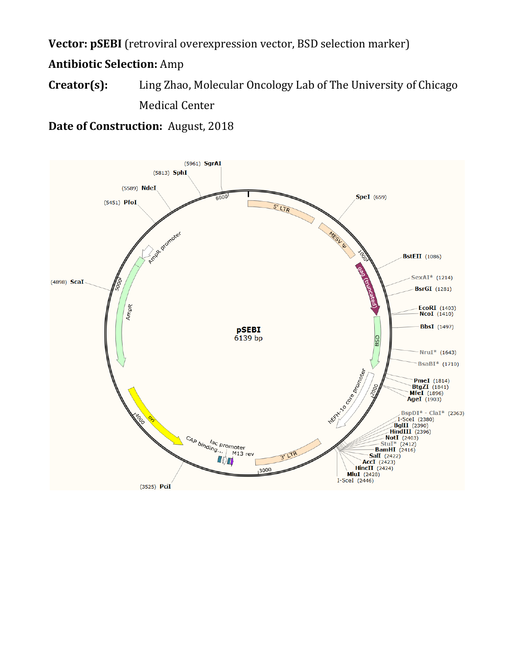**Vector: pSEBI** (retroviral overexpression vector, BSD selection marker)

**Antibiotic Selection:** Amp

**Creator(s):** Ling Zhao, Molecular Oncology Lab of The University of Chicago Medical Center

**Date of Construction:** August, 2018

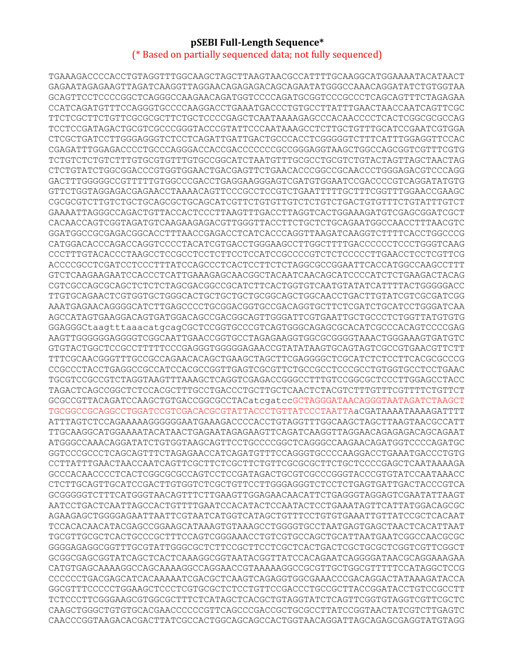## **pSEBI Full-Length Sequence\*** (\* Based on partially sequenced data; not fully sequenced)

TGAAAGACCCCACCTGTAGGTTTGGCAAGCTAGCTTAAGTAACGCCATTTTGCAAGGCATGGAAAATACATAACT GAGAATAGAGAAGTTAGATCAAGGTTAGGAACAGAGAGACAGCAGAATATGGGCCAAACAGGATATCTGTGGTAA GCAGTTCCTCCCCGGCTCAGGGCCAAGAACAGATGGTCCCCAGATGCGGTCCCGCCCTCAGCAGTTTCTAGAGAA CCATCAGATGTTTCCAGGGTGCCCCAAGGACCTGAAATGACCCTGTGCCTTATTTGAACTAACCAATCAGTTCGC TTCTCGCTTCTGTTCGCGCGCTTCTGCTCCCCGAGCTCAATAAAAGAGCCCACAACCCCTCACTCGGCGCGCCAG TCCTCCGATAGACTGCGTCGCCCGGGTACCCGTATTCCCAATAAAGCCTCTTGCTGTTTGCATCCGAATCGTGGA CTCGCTGATCCTTGGGAGGGTCTCCTCAGATTGATTGACTGCCCACCTCGGGGGTCTTTCATTTGGAGGTTCCAC CGAGATTTGGAGACCCCTGCCCAGGGACCACCGACCCCCCCGCCGGGAGGTAAGCTGGCCAGCGGTCGTTTCGTG TCTGTCTCTGTCTTTGTGCGTGTTTGTGCCGGCATCTAATGTTTGCGCCTGCGTCTGTACTAGTTAGCTAACTAG CTCTGTATCTGGCGGACCCGTGGTGGAACTGACGAGTTCTGAACACCCGGCCGCAACCCTGGGAGACGTCCCAGG GACTTTGGGGGCCGTTTTTGTGGCCCGACCTGAGGAAGGGAGTCGATGTGGAATCCGACCCCGTCAGGATATGTG GTTCTGGTAGGAGACGAGAACCTAAAACAGTTCCCGCCTCCGTCTGAATTTTTGCTTTCGGTTTGGAACCGAAGC CGCGCGTCTTGTCTGCTGCAGCGCTGCAGCATCGTTCTGTGTTGTCTCTGTCTGACTGTGTTTCTGTATTTGTCT GAAAATTAGGGCCAGACTGTTACCACTCCCTTAAGTTTGACCTTAGGTCACTGGAAAGATGTCGAGCGGATCGCT CACAACCAGTCGGTAGATGTCAAGAAGAGACGTTGGGTTACCTTCTGCTCTGCAGAATGGCCAACCTTTAACGTC GGATGGCCGCGAGACGGCACCTTTAACCGAGACCTCATCACCCAGGTTAAGATCAAGGTCTTTTCACCTGGCCCG CATGGACACCCAGACCAGGTCCCCTACATCGTGACCTGGGAAGCCTTGGCTTTTGACCCCCCTCCCTGGGTCAAG CCCTTTGTACACCCTAAGCCTCCGCCTCCTCTTCCTCCATCCGCCCCGTCTCTCCCCCTTGAACCTCCTCGTTCG ACCCCGCCTCGATCCTCCCTTTATCCAGCCCTCACTCCTTCTCTAGGCGCCGGAATTCACCATGGCCAAGCCTTT GTCTCAAGAAGAATCCACCCTCATTGAAAGAGCAACGGCTACAATCAACAGCATCCCCATCTCTGAAGACTACAG CGTCGCCAGCGCAGCTCTCTCTAGCGACGGCCGCATCTTCACTGGTGTCAATGTATATCATTTTACTGGGGGACC TTGTGCAGAACTCGTGGTGCTGGGCACTGCTGCTGCTGCGGCAGCTGGCAACCTGACTTGTATCGTCGCGATCGG AAATGAGAACAGGGGCATCTTGAGCCCCTGCGGACGGTGCCGACAGGTGCTTCTCGATCTGCATCCTGGGATCAA AGCCATAGTGAAGGACAGTGATGGACAGCCGACGGCAGTTGGGATTCGTGAATTGCTGCCCTCTGGTTATGTGTG GGAGGGCtaagtttaaacatgcagCGCTCCGGTGCCCGTCAGTGGGCAGAGCGCACATCGCCCACAGTCCCCGAG AAGTTGGGGGGAGGGGTCGGCAATTGAACCGGTGCCTAGAGAAGGTGGCGCGGGGTAAACTGGGAAAGTGATGTC GTGTACTGGCTCCGCCTTTTTCCCGAGGGTGGGGGAGAACCGTATATAAGTGCAGTAGTCGCCGTGAACGTTCTT TTTCGCAACGGGTTTGCCGCCAGAACACAGCTGAAGCTAGCTTCGAGGGGCTCGCATCTCTCCTTCACGCGCCCG CCGCCCTACCTGAGGCCGCCATCCACGCCGGTTGAGTCGCGTTCTGCCGCCTCCCGCCTGTGGTGCCTCCTGAAC TGCGTCCGCCGTCTAGGTAAGTTTAAAGCTCAGGTCGAGACCGGGCCTTTGTCCGGCGCTCCCTTGGAGCCTACC TAGACTCAGCCGGCTCTCCACGCTTTGCCTGACCCTGCTTGCTCAACTCTACGTCTTTGTTTCGTTTTCTGTTCT GCGCCGTTACAGATCCAAGCTGTGACCGGCGCCTACatcgatccGCTAGGGATAACAGGGTAATAGATCTAAGCT TGCGGCCGCAGGCCTGGATCCGTCGACACGCGTATTACCCTGTTATCCCTAATTAaCGATAAAATAAAAGATTTT ATTTAGTCTCCAGAAAAAGGGGGGAATGAAAGACCCCACCTGTAGGTTTGGCAAGCTAGCTTAAGTAACGCCATT TTGCAAGGCATGGAAAATACATAACTGAGAATAGAGAAGTTCAGATCAAGGTTAGGAACAGAGAGACAGCAGAAT ATGGGCCAAACAGGATATCTGTGGTAAGCAGTTCCTGCCCCGGCTCAGGGCCAAGAACAGATGGTCCCCAGATGC GGTCCCGCCCTCAGCAGTTTCTAGAGAACCATCAGATGTTTCCAGGGTGCCCCAAGGACCTGAAATGACCCTGTG CCTTATTTGAACTAACCAATCAGTTCGCTTCTCGCTTCTGTTCGCGCGCTTCTGCTCCCCGAGCTCAATAAAAGA GCCCACAACCCCTCACTCGGCGCGCCAGTCCTCCGATAGACTGCGTCGCCCGGGTACCCGTGTATCCAATAAACC CTCTTGCAGTTGCATCCGACTTGTGGTCTCGCTGTTCCTTGGGAGGGTCTCCTCTGAGTGATTGACTACCCGTCA GCGGGGGTCTTTCATGGGTAACAGTTTCTTGAAGTTGGAGAACAACATTCTGAGGGTAGGAGTCGAATATTAAGT AATCCTGACTCAATTAGCCACTGTTTTGAATCCACATACTCCAATACTCCTGAAATAGTTCATTATGGACAGCGC AGAAGAGCTGGGGAGAATTAATTCGTAATCATGGTCATAGCTGTTTCCTGTGTGAAATTGTTATCCGCTCACAAT TCCACACAACATACGAGCCGGAAGCATAAAGTGTAAAGCCTGGGGTGCCTAATGAGTGAGCTAACTCACATTAAT TGCGTTGCGCTCACTGCCCGCTTTCCAGTCGGGAAACCTGTCGTGCCAGCTGCATTAATGAATCGGCCAACGCGC GGGGAGAGGCGGTTTGCGTATTGGGCGCTCTTCCGCTTCCTCGCTCACTGACTCGCTGCGCTCGGTCGTTCGGCT GCGGCGAGCGGTATCAGCTCACTCAAAGGCGGTAATACGGTTATCCACAGAATCAGGGGATAACGCAGGAAAGAA CATGTGAGCAAAAGGCCAGCAAAAGGCCAGGAACCGTAAAAAGGCCGCGTTGCTGGCGTTTTTCCATAGGCTCCG CCCCCCTGACGAGCATCACAAAAATCGACGCTCAAGTCAGAGGTGGCGAAACCCGACAGGACTATAAAGATACCA GGCGTTTCCCCCTGGAAGCTCCCTCGTGCGCTCTCCTGTTCCGACCCTGCCGCTTACCGGATACCTGTCCGCCTT TCTCCCTTCGGGAAGCGTGGCGCTTTCTCATAGCTCACGCTGTAGGTATCTCAGTTCGGTGTAGGTCGTTCGCTC CAAGCTGGGCTGTGTGCACGAACCCCCCGTTCAGCCCGACCGCTGCGCCTTATCCGGTAACTATCGTCTTGAGTC CAACCCGGTAAGACACGACTTATCGCCACTGGCAGCAGCCACTGGTAACAGGATTAGCAGAGCGAGGTATGTAGG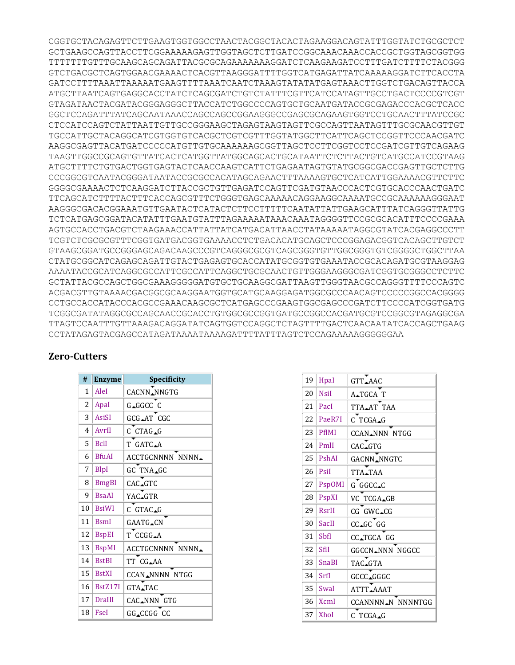CGGTGCTACAGAGTTCTTGAAGTGGTGGCCTAACTACGGCTACACTAGAAGGACAGTATTTGGTATCTGCGCTCT GCTGAAGCCAGTTACCTTCGGAAAAAGAGTTGGTAGCTCTTGATCCGGCAAACAAACCACCGCTGGTAGCGGTGG TTTTTTTGTTTGCAAGCAGCAGATTACGCGCAGAAAAAAAGGATCTCAAGAAGATCCTTTGATCTTTTCTACGGG GTCTGACGCTCAGTGGAACGAAAACTCACGTTAAGGGATTTTGGTCATGAGATTATCAAAAAGGATCTTCACCTA GATCCTTTTAAATTAAAAATGAAGTTTTAAATCAATCTAAAGTATATATGAGTAAACTTGGTCTGACAGTTACCA ATGCTTAATCAGTGAGGCACCTATCTCAGCGATCTGTCTATTTCGTTCATCCATAGTTGCCTGACTCCCCGTCGT GTAGATAACTACGATACGGGAGGGCTTACCATCTGGCCCCAGTGCTGCAATGATACCGCGAGACCCACGCTCACC GGCTCCAGATTTATCAGCAATAAACCAGCCAGCCGGAAGGGCCGAGCGCAGAAGTGGTCCTGCAACTTTATCCGC CTCCATCCAGTCTATTAATTGTTGCCGGGAAGCTAGAGTAAGTAGTTCGCCAGTTAATAGTTTGCGCAACGTTGT TGCCATTGCTACAGGCATCGTGGTGTCACGCTCGTCGTTTGGTATGGCTTCATTCAGCTCCGGTTCCCAACGATC AAGGCGAGTTACATGATCCCCCATGTTGTGCAAAAAAGCGGTTAGCTCCTTCGGTCCTCCGATCGTTGTCAGAAG TAAGTTGGCCGCAGTGTTATCACTCATGGTTATGGCAGCACTGCATAATTCTCTTACTGTCATGCCATCCGTAAG ATGCTTTTCTGTGACTGGTGAGTACTCAACCAAGTCATTCTGAGAATAGTGTATGCGGCGACCGAGTTGCTCTTG CCCGGCGTCAATACGGGATAATACCGCGCCACATAGCAGAACTTTAAAAGTGCTCATCATTGGAAAACGTTCTTC GGGGCGAAAACTCTCAAGGATCTTACCGCTGTTGAGATCCAGTTCGATGTAACCCACTCGTGCACCCAACTGATC TTCAGCATCTTTTACTTTCACCAGCGTTTCTGGGTGAGCAAAAACAGGAAGGCAAAATGCCGCAAAAAAGGGAAT AAGGGCGACACGGAAATGTTGAATACTCATACTCTTCCTTTTTCAATATTATTGAAGCATTTATCAGGGTTATTG TCTCATGAGCGGATACATATTTGAATGTATTTAGAAAAATAAACAAATAGGGGTTCCGCGCACATTTCCCCGAAA AGTGCCACCTGACGTCTAAGAAACCATTATTATCATGACATTAACCTATAAAAATAGGCGTATCACGAGGCCCTT TCGTCTCGCGCGTTTCGGTGATGACGGTGAAAACCTCTGACACATGCAGCTCCCGGAGACGGTCACAGCTTGTCT GTAAGCGGATGCCGGGAGCAGACAAGCCCGTCAGGGCGCGTCAGCGGGTGTTGGCGGGTGTCGGGGCTGGCTTAA CTATGCGGCATCAGAGCAGATTGTACTGAGAGTGCACCATATGCGGTGTGAAATACCGCACAGATGCGTAAGGAG AAAATACCGCATCAGGCGCCATTCGCCATTCAGGCTGCGCAACTGTTGGGAAGGGCGATCGGTGCGGGCCTCTTC GCTATTACGCCAGCTGGCGAAAGGGGGATGTGCTGCAAGGCGATTAAGTTGGGTAACGCCAGGGTTTTCCCAGTC ACGACGTTGTAAAACGACGGCGCAAGGAATGGTGCATGCAAGGAGATGGCGCCCAACAGTCCCCCGGCCACGGGG CCTGCCACCATACCCACGCCGAAACAAGCGCTCATGAGCCCGAAGTGGCGAGCCCGATCTTCCCCATCGGTGATG TCGGCGATATAGGCGCCAGCAACCGCACCTGTGGCGCCGGTGATGCCGGCCACGATGCGTCCGGCGTAGAGGCGA TTAGTCCAATTTGTTAAAGACAGGATATCAGTGGTCCAGGCTCTAGTTTTGACTCAACAATATCACCAGCTGAAG CCTATAGAGTACGAGCCATAGATAAAATAAAAGATTTTATTTAGTCTCCAGAAAAAGGGGGGAA

## **Zero-Cutters**

| #  | <b>Enzyme</b> | Specificity                  |
|----|---------------|------------------------------|
| 1  | AleI          | CACNN <sub>ANNGTG</sub>      |
| 2  | Apal          | G_GGCC C                     |
| 3  | <b>AsiSI</b>  | GCG_AT CGC                   |
| 4  | AvrII         | C CTAG_G                     |
| 5  | <b>B</b> clI  | T GATC.A                     |
| 6  | <b>BfuAI</b>  | <b>ACCTGCNNNN NNNN</b>       |
| 7  | BlpI          | GC TNA_GC                    |
| 8  | <b>BmgBI</b>  | CAC.GTC                      |
| 9  | <b>BsaAI</b>  | YAC.GTR                      |
| 10 | <b>BsiWI</b>  | C GTAC.G                     |
| 11 | <b>BsmI</b>   | <b>GAATG_CN</b>              |
| 12 | <b>BspEI</b>  | T CCGG.A                     |
| 13 | <b>BspMI</b>  | ACCTGCNNNN NNNN <sub>+</sub> |
| 14 | <b>BstBI</b>  | TT CG_AA                     |
| 15 | <b>BstXI</b>  | <b>CCAN_NNNN NTGG</b>        |
| 16 | BstZ17I       | GTA <sub>-TAC</sub>          |
| 17 | DraIII        | CAC.NNN GTG                  |
| 18 | Fsel          | GG_CCGG CC                   |

| 19 | Hpal          | GTT_AAC                        |
|----|---------------|--------------------------------|
| 20 | <b>Nsil</b>   | A <sub>-TGCA</sub> T           |
| 21 | PacI          | TTA_AT TAA                     |
| 22 | PaeR7I        | C TCGA_G                       |
| 23 | <b>PflMI</b>  | CCAN NNN NTGG                  |
| 24 | PmlI          | CAC.GTG                        |
| 25 | PshAI         | GACNN_NNGTC                    |
| 26 | Psil          | TTA <sub>-TAA</sub>            |
| 27 | <b>PspOMI</b> | G GGCC.C                       |
| 28 | PspXI         | VC TCGA_GB                     |
| 29 | RsrII         | CG GWC_CG                      |
| 30 | SacII         | CC_GC GG                       |
| 31 | ShfI          | CC.TGCA GG                     |
| 32 | SfiI          | GGCCN.NNN NGGCC                |
| 33 | <b>SnaBI</b>  | TAC.GTA                        |
| 34 | SrfI          | GCCC_GGGC                      |
| 35 | SwaI          | ATTT.AAAT                      |
| 36 | <b>XcmI</b>   | CCANNNN <sub>A</sub> N NNNNTGG |
| 37 | <b>XhoI</b>   | $C$ TCGA <sub>-G</sub>         |